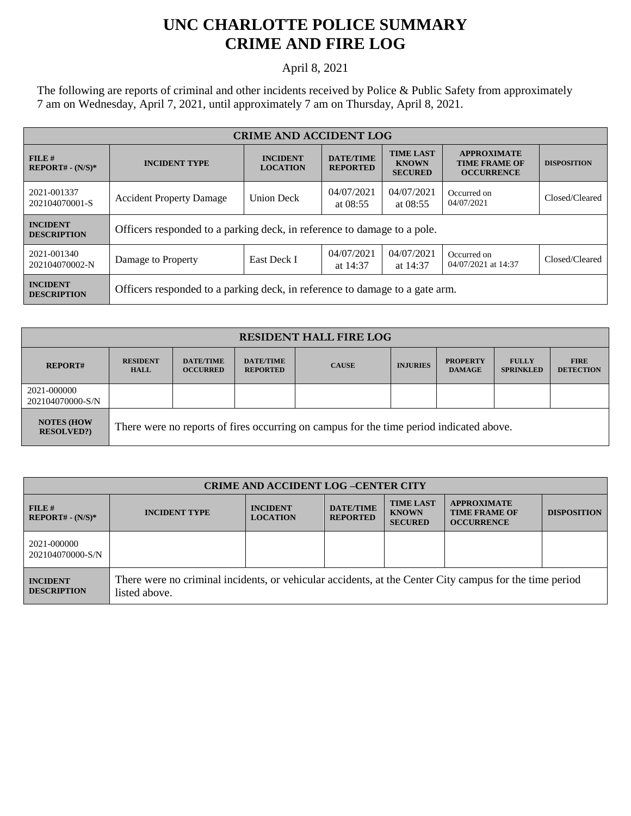## **UNC CHARLOTTE POLICE SUMMARY CRIME AND FIRE LOG**

April 8, 2021

The following are reports of criminal and other incidents received by Police & Public Safety from approximately 7 am on Wednesday, April 7, 2021, until approximately 7 am on Thursday, April 8, 2021.

| <b>CRIME AND ACCIDENT LOG</b>         |                                                                                                                                                         |                   |                                                                 |                          |                                    |                |  |
|---------------------------------------|---------------------------------------------------------------------------------------------------------------------------------------------------------|-------------------|-----------------------------------------------------------------|--------------------------|------------------------------------|----------------|--|
| FILE#<br>$REPORT# - (N/S)*$           | <b>TIME LAST</b><br><b>DATE/TIME</b><br><b>INCIDENT</b><br><b>INCIDENT TYPE</b><br><b>KNOWN</b><br><b>LOCATION</b><br><b>REPORTED</b><br><b>SECURED</b> |                   | <b>APPROXIMATE</b><br><b>TIME FRAME OF</b><br><b>OCCURRENCE</b> | <b>DISPOSITION</b>       |                                    |                |  |
| 2021-001337<br>202104070001-S         | <b>Accident Property Damage</b>                                                                                                                         | <b>Union Deck</b> | 04/07/2021<br>at $08:55$                                        | 04/07/2021<br>at $08:55$ | Occurred on<br>04/07/2021          | Closed/Cleared |  |
| <b>INCIDENT</b><br><b>DESCRIPTION</b> | Officers responded to a parking deck, in reference to damage to a pole.                                                                                 |                   |                                                                 |                          |                                    |                |  |
| 2021-001340<br>202104070002-N         | Damage to Property                                                                                                                                      | East Deck I       | 04/07/2021<br>at 14:37                                          | 04/07/2021<br>at 14:37   | Occurred on<br>04/07/2021 at 14:37 | Closed/Cleared |  |
| <b>INCIDENT</b><br><b>DESCRIPTION</b> | Officers responded to a parking deck, in reference to damage to a gate arm.                                                                             |                   |                                                                 |                          |                                    |                |  |

| <b>RESIDENT HALL FIRE LOG</b>         |                                                                                         |                                     |                                     |              |                 |                                  |                                  |                                 |
|---------------------------------------|-----------------------------------------------------------------------------------------|-------------------------------------|-------------------------------------|--------------|-----------------|----------------------------------|----------------------------------|---------------------------------|
| <b>REPORT#</b>                        | <b>RESIDENT</b><br><b>HALL</b>                                                          | <b>DATE/TIME</b><br><b>OCCURRED</b> | <b>DATE/TIME</b><br><b>REPORTED</b> | <b>CAUSE</b> | <b>INJURIES</b> | <b>PROPERTY</b><br><b>DAMAGE</b> | <b>FULLY</b><br><b>SPRINKLED</b> | <b>FIRE</b><br><b>DETECTION</b> |
| 2021-000000<br>202104070000-S/N       |                                                                                         |                                     |                                     |              |                 |                                  |                                  |                                 |
| <b>NOTES (HOW</b><br><b>RESOLVED?</b> | There were no reports of fires occurring on campus for the time period indicated above. |                                     |                                     |              |                 |                                  |                                  |                                 |

| <b>CRIME AND ACCIDENT LOG-CENTER CITY</b> |                                                                                                                          |                                    |                                     |                                                    |                                                                 |                    |
|-------------------------------------------|--------------------------------------------------------------------------------------------------------------------------|------------------------------------|-------------------------------------|----------------------------------------------------|-----------------------------------------------------------------|--------------------|
| $FILE$ #<br>$REPORT# - (N/S)*$            | <b>INCIDENT TYPE</b>                                                                                                     | <b>INCIDENT</b><br><b>LOCATION</b> | <b>DATE/TIME</b><br><b>REPORTED</b> | <b>TIME LAST</b><br><b>KNOWN</b><br><b>SECURED</b> | <b>APPROXIMATE</b><br><b>TIME FRAME OF</b><br><b>OCCURRENCE</b> | <b>DISPOSITION</b> |
| 2021-000000<br>202104070000-S/N           |                                                                                                                          |                                    |                                     |                                                    |                                                                 |                    |
| <b>INCIDENT</b><br><b>DESCRIPTION</b>     | There were no criminal incidents, or vehicular accidents, at the Center City campus for the time period<br>listed above. |                                    |                                     |                                                    |                                                                 |                    |